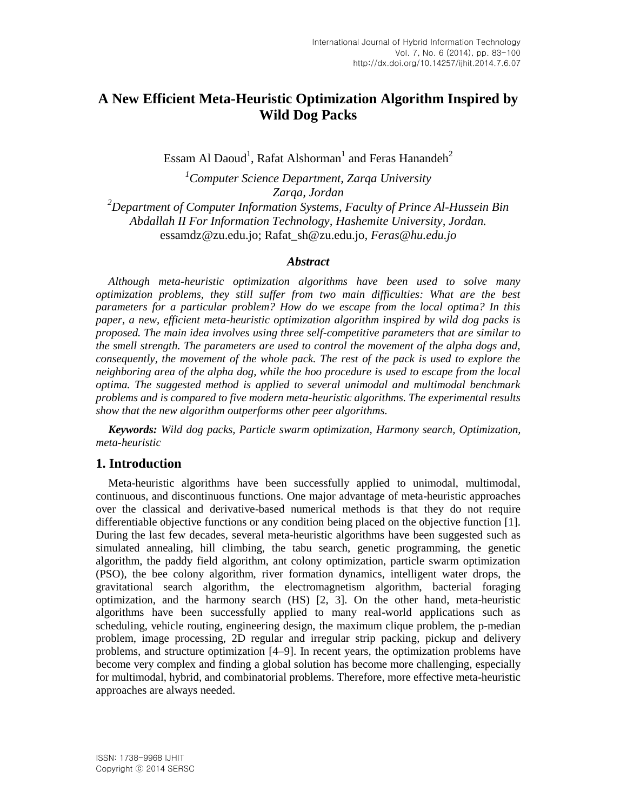# **A New Efficient Meta-Heuristic Optimization Algorithm Inspired by Wild Dog Packs**

Essam Al Daoud<sup>1</sup>, Rafat Alshorman<sup>1</sup> and Feras Hanandeh<sup>2</sup>

*<sup>1</sup>Computer Science Department, Zarqa University Zarqa, Jordan <sup>2</sup>Department [of Computer Information Systems, Faculty of Prince Al-Hussein Bin](http://hu.edu.jo/fac/dept/?deptid=67030000)  [Abdallah II For Information Technology,](http://hu.edu.jo/fac/dept/?deptid=67030000) Hashemite University, Jordan.* [essamdz@zu.edu.jo;](mailto:essamdz@zu.edu.jo) Rafat\_sh@zu.edu.jo*, [Feras@hu.edu.jo](mailto:Feras@hu.edu.jo)*

### *Abstract*

*Although meta-heuristic optimization algorithms have been used to solve many optimization problems, they still suffer from two main difficulties: What are the best parameters for a particular problem? How do we escape from the local optima? In this paper, a new, efficient meta-heuristic optimization algorithm inspired by wild dog packs is proposed. The main idea involves using three self-competitive parameters that are similar to the smell strength. The parameters are used to control the movement of the alpha dogs and, consequently, the movement of the whole pack. The rest of the pack is used to explore the neighboring area of the alpha dog, while the hoo procedure is used to escape from the local optima. The suggested method is applied to several unimodal and multimodal benchmark problems and is compared to five modern meta-heuristic algorithms. The experimental results show that the new algorithm outperforms other peer algorithms.*

*Keywords: Wild dog packs, Particle swarm optimization, Harmony search, Optimization, meta-heuristic*

## **1. Introduction**

Meta-heuristic algorithms have been successfully applied to unimodal, multimodal, continuous, and discontinuous functions. One major advantage of meta-heuristic approaches over the classical and derivative-based numerical methods is that they do not require differentiable objective functions or any condition being placed on the objective function [1]. During the last few decades, several meta-heuristic algorithms have been suggested such as simulated annealing, hill climbing, the tabu search, genetic programming, the genetic algorithm, the paddy field algorithm, ant colony optimization, particle swarm optimization (PSO), the bee colony algorithm, river formation dynamics, intelligent water drops, the gravitational search algorithm, the electromagnetism algorithm, bacterial foraging optimization, and the harmony search (HS) [2, 3]. On the other hand, meta-heuristic algorithms have been successfully applied to many real-world applications such as scheduling, vehicle routing, engineering design, the maximum clique problem, the p-median problem, image processing, 2D regular and irregular strip packing, pickup and delivery problems, and structure optimization [4–9]. In recent years, the optimization problems have become very complex and finding a global solution has become more challenging, especially for multimodal, hybrid, and combinatorial problems. Therefore, more effective meta-heuristic approaches are always needed.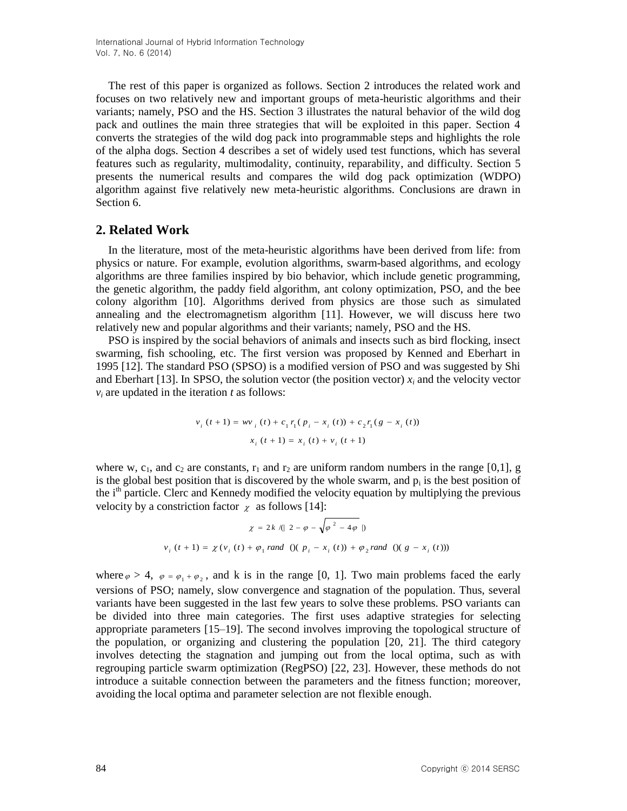The rest of this paper is organized as follows. Section 2 introduces the related work and focuses on two relatively new and important groups of meta-heuristic algorithms and their variants; namely, PSO and the HS. Section 3 illustrates the natural behavior of the wild dog pack and outlines the main three strategies that will be exploited in this paper. Section 4 converts the strategies of the wild dog pack into programmable steps and highlights the role of the alpha dogs. Section 4 describes a set of widely used test functions, which has several features such as regularity, multimodality, continuity, reparability, and difficulty. Section 5 presents the numerical results and compares the wild dog pack optimization (WDPO) algorithm against five relatively new meta-heuristic algorithms. Conclusions are drawn in Section 6.

## **2. Related Work**

In the literature, most of the meta-heuristic algorithms have been derived from life: from physics or nature. For example, evolution algorithms, swarm-based algorithms, and ecology algorithms are three families inspired by bio behavior, which include genetic programming, the genetic algorithm, the paddy field algorithm, ant colony optimization, PSO, and the bee colony algorithm [10]. Algorithms derived from physics are those such as simulated annealing and the electromagnetism algorithm [11]. However, we will discuss here two relatively new and popular algorithms and their variants; namely, PSO and the HS.

PSO is inspired by the social behaviors of animals and insects such as bird flocking, insect swarming, fish schooling, etc. The first version was proposed by Kenned and Eberhart in 1995 [12]. The standard PSO (SPSO) is a modified version of PSO and was suggested by Shi and Eberhart [13]. In SPSO, the solution vector (the position vector)  $x_i$  and the velocity vector  $v_i$  are updated in the iteration  $t$  as follows:

$$
v_i(t+1) = w v_i(t) + c_1 r_1 (p_i - x_i(t)) + c_2 r_1 (g - x_i(t))
$$
  

$$
x_i(t+1) = x_i(t) + v_i(t+1)
$$

where w, c<sub>1</sub>, and c<sub>2</sub> are constants,  $r_1$  and  $r_2$  are uniform random numbers in the range [0,1], g is the global best position that is discovered by the whole swarm, and  $p_i$  is the best position of the i<sup>th</sup> particle. Clerc and Kennedy modified the velocity equation by multiplying the previous velocity by a constriction factor  $\chi$  as follows [14]:

$$
\chi = 2k / (|2 - \varphi - \sqrt{\varphi^{2} - 4\varphi}|)
$$
  

$$
v_{i}(t+1) = \chi(v_{i}(t) + \varphi_{1} \text{ rand } ()(p_{i} - x_{i}(t)) + \varphi_{2} \text{ rand } ()(g - x_{i}(t)))
$$

where  $\varphi > 4$ ,  $\varphi = \varphi_1 + \varphi_2$ , and k is in the range [0, 1]. Two main problems faced the early versions of PSO; namely, slow convergence and stagnation of the population. Thus, several variants have been suggested in the last few years to solve these problems. PSO variants can be divided into three main categories. The first uses adaptive strategies for selecting appropriate parameters [15–19]. The second involves improving the topological structure of the population, or organizing and clustering the population [20, 21]. The third category involves detecting the stagnation and jumping out from the local optima, such as with regrouping particle swarm optimization (RegPSO) [22, 23]. However, these methods do not introduce a suitable connection between the parameters and the fitness function; moreover, avoiding the local optima and parameter selection are not flexible enough.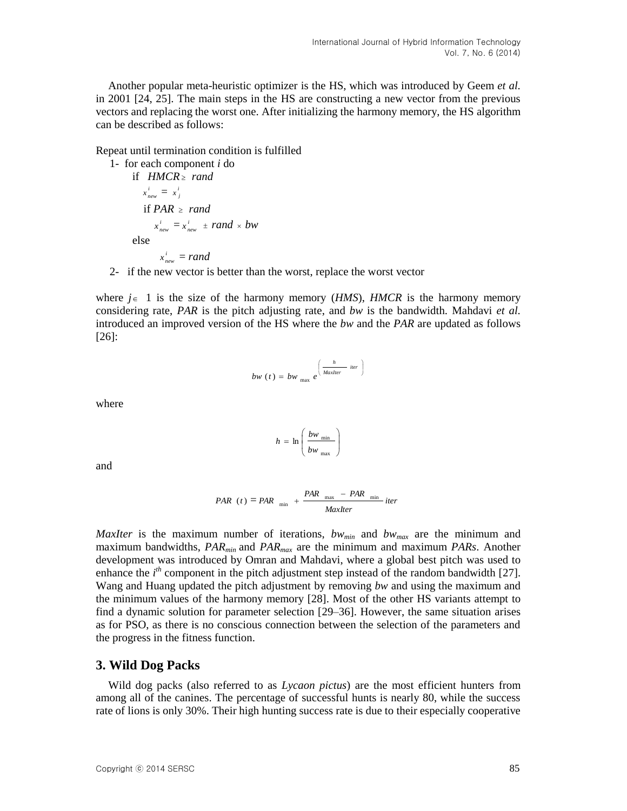Another popular meta-heuristic optimizer is the HS, which was introduced by Geem *et al.* in 2001 [24, 25]. The main steps in the HS are constructing a new vector from the previous vectors and replacing the worst one. After initializing the harmony memory, the HS algorithm can be described as follows:

Repeat until termination condition is fulfilled

1- for each component *i* do  
\nif 
$$
HMCR \geq rand
$$
  
\n $x_{new}^i = x_j^i$   
\nif  $PAR \geq rand$   
\n $x_{new}^i = x_{new}^i \pm rand \times bw$   
\nelse  
\n $x_{new}^i = rand$ 

2- if the new vector is better than the worst, replace the worst vector

where  $j \in 1$  is the size of the harmony memory (*HMS*), *HMCR* is the harmony memory considering rate, *PAR* is the pitch adjusting rate, and *bw* is the bandwidth. Mahdavi *et al.* introduced an improved version of the HS where the *bw* and the *PAR* are updated as follows [26]:

$$
bw(t) = bw_{\max} e^{\left(\frac{h}{MaxIter} iter\right)}
$$

where

$$
h = \ln\left(\frac{bw_{\min}}{bw_{\max}}\right)
$$

and

$$
PAR(t) = PAR_{min} + \frac{PAR_{max} - PAR_{min}}{MaxIter}iter
$$

*MaxIter* is the maximum number of iterations, *bwmin* and *bwmax* are the minimum and maximum bandwidths, *PARmin* and *PARmax* are the minimum and maximum *PARs*. Another development was introduced by Omran and Mahdavi, where a global best pitch was used to enhance the *i*<sup>th</sup> component in the pitch adjustment step instead of the random bandwidth [27]. Wang and Huang updated the pitch adjustment by removing *bw* and using the maximum and the minimum values of the harmony memory [28]. Most of the other HS variants attempt to find a dynamic solution for parameter selection [29–36]. However, the same situation arises as for PSO, as there is no conscious connection between the selection of the parameters and the progress in the fitness function.

### **3. Wild Dog Packs**

Wild dog packs (also referred to as *Lycaon pictus*) are the most efficient hunters from among all of the canines. The percentage of successful hunts is nearly 80, while the success rate of lions is only 30%. Their high hunting success rate is due to their especially cooperative

Copyright ⓒ 2014 SERSC 85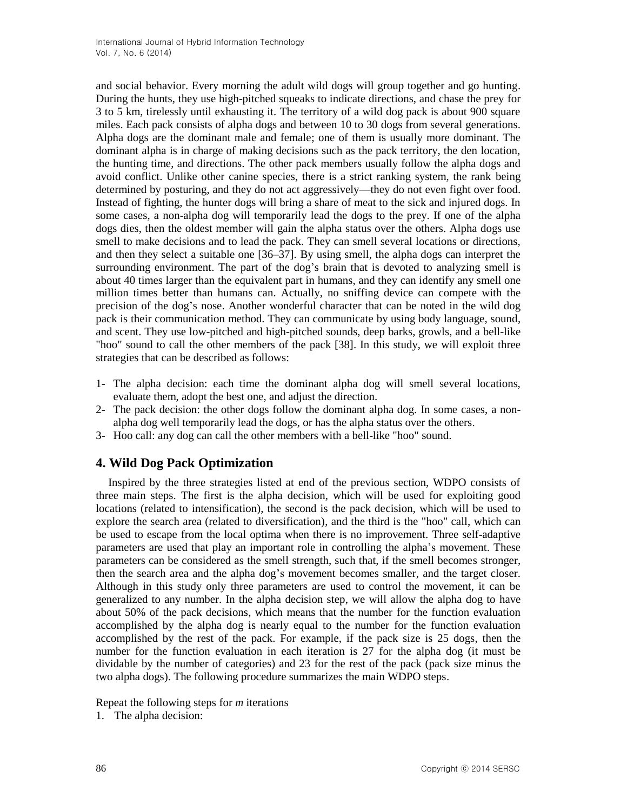and social behavior. Every morning the adult wild dogs will group together and go hunting. During the hunts, they use high-pitched squeaks to indicate directions, and chase the prey for 3 to 5 km, tirelessly until exhausting it. The territory of a wild dog pack is about 900 square miles. Each pack consists of alpha dogs and between 10 to 30 dogs from several generations. Alpha dogs are the dominant male and female; one of them is usually more dominant. The dominant alpha is in charge of making decisions such as the pack territory, the den location, the hunting time, and directions. The other pack members usually follow the alpha dogs and avoid conflict. Unlike other canine species, there is a strict ranking system, the rank being determined by posturing, and they do not act aggressively—they do not even fight over food. Instead of fighting, the hunter dogs will bring a share of meat to the sick and injured dogs. In some cases, a non-alpha dog will temporarily lead the dogs to the prey. If one of the alpha dogs dies, then the oldest member will gain the alpha status over the others. Alpha dogs use smell to make decisions and to lead the pack. They can smell several locations or directions, and then they select a suitable one [36–37]. By using smell, the alpha dogs can interpret the surrounding environment. The part of the dog's brain that is devoted to analyzing smell is about 40 times larger than the equivalent part in humans, and they can identify any smell one million times better than humans can. Actually, no sniffing device can compete with the precision of the dog's nose. Another wonderful character that can be noted in the wild dog pack is their communication method. They can communicate by using body language, sound, and scent. They use low-pitched and high-pitched sounds, deep barks, growls, and a bell-like "hoo" sound to call the other members of the pack [38]. In this study, we will exploit three strategies that can be described as follows:

- 1- The alpha decision: each time the dominant alpha dog will smell several locations, evaluate them, adopt the best one, and adjust the direction.
- 2- The pack decision: the other dogs follow the dominant alpha dog. In some cases, a nonalpha dog well temporarily lead the dogs, or has the alpha status over the others.
- 3- Hoo call: any dog can call the other members with a bell-like "hoo" sound.

## **4. Wild Dog Pack Optimization**

Inspired by the three strategies listed at end of the previous section, WDPO consists of three main steps. The first is the alpha decision, which will be used for exploiting good locations (related to intensification), the second is the pack decision, which will be used to explore the search area (related to diversification), and the third is the "hoo" call, which can be used to escape from the local optima when there is no improvement. Three self-adaptive parameters are used that play an important role in controlling the alpha's movement. These parameters can be considered as the smell strength, such that, if the smell becomes stronger, then the search area and the alpha dog's movement becomes smaller, and the target closer. Although in this study only three parameters are used to control the movement, it can be generalized to any number. In the alpha decision step, we will allow the alpha dog to have about 50% of the pack decisions, which means that the number for the function evaluation accomplished by the alpha dog is nearly equal to the number for the function evaluation accomplished by the rest of the pack. For example, if the pack size is 25 dogs, then the number for the function evaluation in each iteration is 27 for the alpha dog (it must be dividable by the number of categories) and 23 for the rest of the pack (pack size minus the two alpha dogs). The following procedure summarizes the main WDPO steps.

Repeat the following steps for *m* iterations

1. The alpha decision: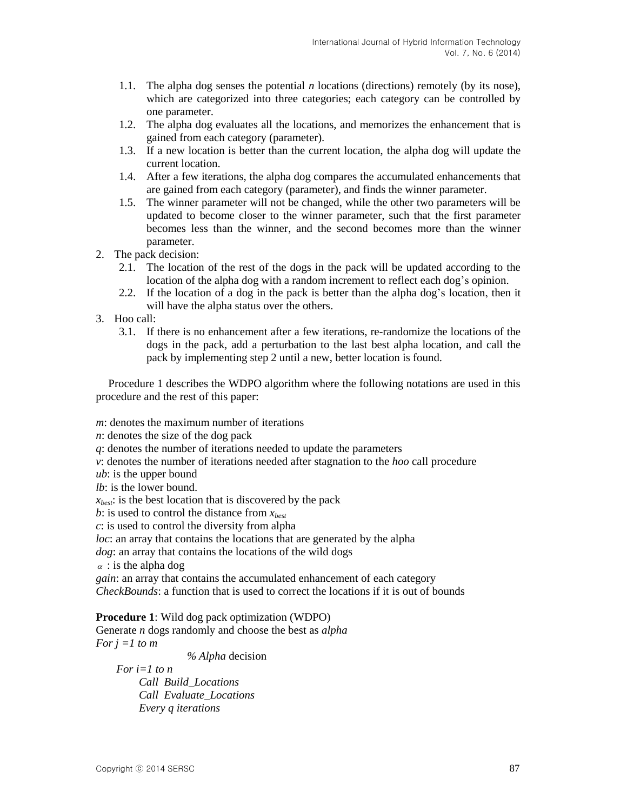- 1.1. The alpha dog senses the potential *n* locations (directions) remotely (by its nose), which are categorized into three categories; each category can be controlled by one parameter.
- 1.2. The alpha dog evaluates all the locations, and memorizes the enhancement that is gained from each category (parameter).
- 1.3. If a new location is better than the current location, the alpha dog will update the current location.
- 1.4. After a few iterations, the alpha dog compares the accumulated enhancements that are gained from each category (parameter), and finds the winner parameter.
- 1.5. The winner parameter will not be changed, while the other two parameters will be updated to become closer to the winner parameter, such that the first parameter becomes less than the winner, and the second becomes more than the winner parameter.
- 2. The pack decision:
	- 2.1. The location of the rest of the dogs in the pack will be updated according to the location of the alpha dog with a random increment to reflect each dog's opinion.
	- 2.2. If the location of a dog in the pack is better than the alpha dog's location, then it will have the alpha status over the others.
- 3. Hoo call:
	- 3.1. If there is no enhancement after a few iterations, re-randomize the locations of the dogs in the pack, add a perturbation to the last best alpha location, and call the pack by implementing step 2 until a new, better location is found.

Procedure 1 describes the WDPO algorithm where the following notations are used in this procedure and the rest of this paper:

*m*: denotes the maximum number of iterations

*n*: denotes the size of the dog pack

*q*: denotes the number of iterations needed to update the parameters

*v*: denotes the number of iterations needed after stagnation to the *hoo* call procedure

*ub*: is the upper bound

*lb*: is the lower bound.

*xbest*: is the best location that is discovered by the pack

*b*: is used to control the distance from *xbest*

*c*: is used to control the diversity from alpha

*loc*: an array that contains the locations that are generated by the alpha

*dog*: an array that contains the locations of the wild dogs

 $\alpha$ : is the alpha dog

*gain*: an array that contains the accumulated enhancement of each category *CheckBounds*: a function that is used to correct the locations if it is out of bounds

**Procedure 1**: Wild dog pack optimization (WDPO) Generate *n* dogs randomly and choose the best as *alpha For j =1 to m*

 *% Alpha* decision

 *For i=1 to n Call Build\_Locations Call Evaluate\_Locations Every q iterations*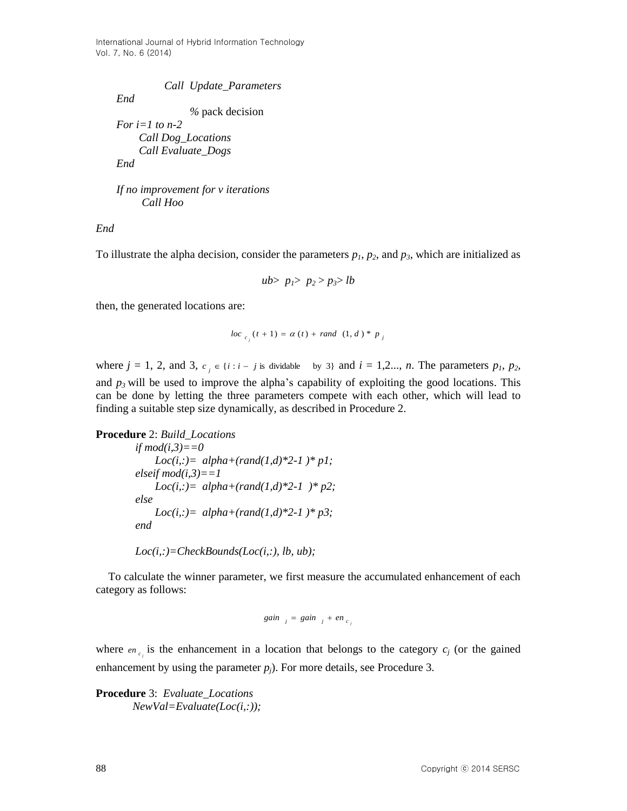*End*

 *Call Update\_Parameters* 

 *%* pack decision

 *For i=1 to n-2 Call Dog\_Locations Call Evaluate\_Dogs End*

 *If no improvement for v iterations*

 *Call Hoo*

*End*

To illustrate the alpha decision, consider the parameters  $p_1$ ,  $p_2$ , and  $p_3$ , which are initialized as

*ub*>  $p_1$ >  $p_2$  >  $p_3$ > *lb* 

then, the generated locations are:

$$
loc_{c_i}(t+1) = \alpha(t) + rand (1, d) * p_j
$$

where  $j = 1, 2,$  and 3,  $c_j \in \{i : i - j \text{ is divideable} \text{ by } 3\}$  and  $i = 1, 2, ..., n$ . The parameters  $p_1, p_2,$ and  $p<sub>3</sub>$  will be used to improve the alpha's capability of exploiting the good locations. This can be done by letting the three parameters compete with each other, which will lead to finding a suitable step size dynamically, as described in Procedure 2.

**Procedure** 2: *Build\_Locations*

*if*  $mod(i,3)=0$ *Loc(i,:)*=  $alpha+(rand(1,d)*2-1)*p1;$  $elseif mod(i,3)=1$  *Loc(i,:)= alpha+(rand(1,d)\*2-1 )\* p2; else Loc(i,:)*=  $alpha+(rand(1,d)*2-1)*p3;$  *end* 

$$
Loc(i,:) = CheckBounds(Loc(i,:), lb, ub);
$$

To calculate the winner parameter, we first measure the accumulated enhancement of each category as follows:

$$
gain_{j} = gain_{j} + en_{c_{j}}
$$

where  $en_{c_i}$  is the enhancement in a location that belongs to the category  $c_j$  (or the gained enhancement by using the parameter  $p_i$ ). For more details, see Procedure 3.

**Procedure** 3: *Evaluate\_Locations NewVal=Evaluate(Loc(i,:));*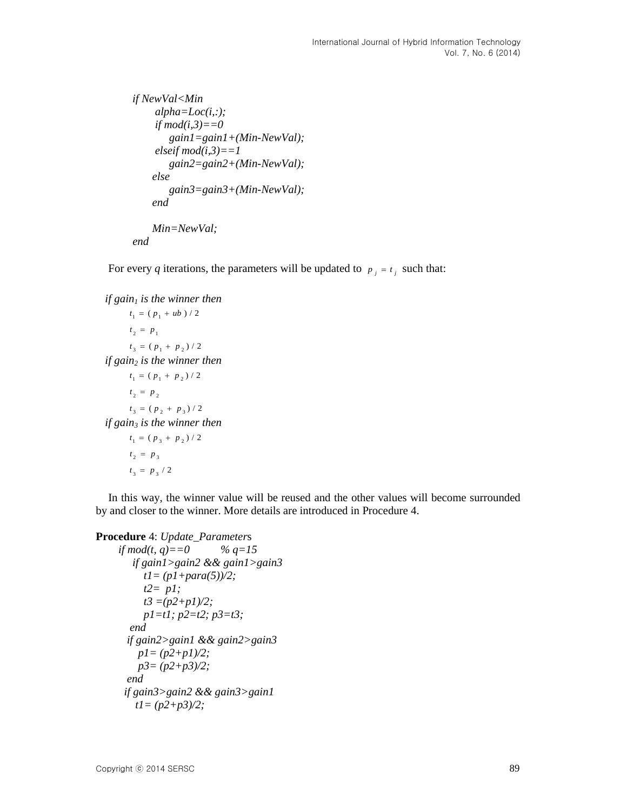```
 if NewVal<Min
    alpha=Loc(i,:);
   if mod(i,3)=0 gain1=gain1+(Min-NewVal);
   elseif mod(i,3)=1 gain2=gain2+(Min-NewVal);
    else
       gain3=gain3+(Min-NewVal);
   end 
   Min=NewVal;
```
 *end* 

For every *q* iterations, the parameters will be updated to  $p_i = t_i$  such that:

```
if gain1 is the winner then 
      t_1 = ( p_1 + ub ) / 2t_2 = p_1t_3 = (p_1 + p_2) / 2if gain2 is the winner then 
      t_1 = (p_1 + p_2) / 2t_2 = p_2t_3 = (p_2 + p_3) / 2if gain3 is the winner then 
      t_1 = (p_3 + p_2) / 2t_2 = p_3t_3 = p_3 / 2
```
In this way, the winner value will be reused and the other values will become surrounded by and closer to the winner. More details are introduced in Procedure 4.

```
Procedure 4: Update_Parameters
```

```
if mod(t, q)==0 \% q=15 if gain1>gain2 && gain1>gain3
     t1= (p1+para(5))/2;
     t2= p1;
     t3 =(p2+p1)/2;
     p1=t1; p2=t2; p3=t3;
  end
 if gain2>gain1 && gain2>gain3
   p1= (p2+p1)/2;
   p3= (p2+p3)/2;
 end
 if gain3>gain2 && gain3>gain1
   t1= (p2+p3)/2;
```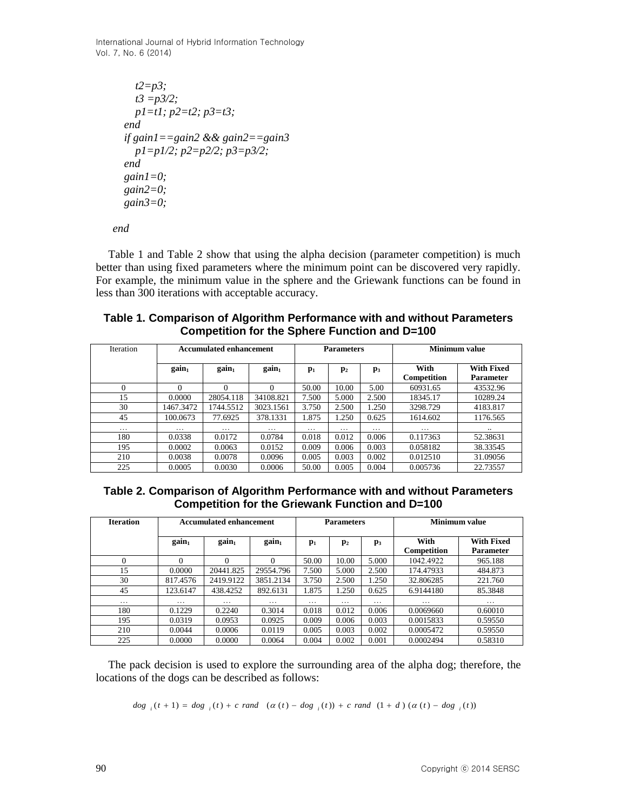```
 t2=p3;
  t3 =p3/2;
  p1=t1; p2=t2; p3=t3;
end
if gain1==gain2 && gain2==gain3
  p1=p1/2; p2=p2/2; p3=p3/2;
end
gain1=0;
gain2=0;
gain3=0;
```
 *end*

Table 1 and Table 2 show that using the alpha decision (parameter competition) is much better than using fixed parameters where the minimum point can be discovered very rapidly. For example, the minimum value in the sphere and the Griewank functions can be found in less than 300 iterations with acceptable accuracy.

## **Table 1. Comparison of Algorithm Performance with and without Parameters Competition for the Sphere Function and D=100**

| <b>Iteration</b>  | <b>Accumulated enhancement</b> |                   |                   | <b>Parameters</b> |                |                | Minimum value              |                                       |
|-------------------|--------------------------------|-------------------|-------------------|-------------------|----------------|----------------|----------------------------|---------------------------------------|
|                   | gain <sub>1</sub>              | gain <sub>1</sub> | gain <sub>1</sub> | $\mathbf{p}_1$    | $\mathbf{p}_2$ | $\mathbf{p}_3$ | With<br><b>Competition</b> | <b>With Fixed</b><br><b>Parameter</b> |
|                   |                                |                   | $\Omega$          | 50.00             | 10.00          | 5.00           | 60931.65                   | 43532.96                              |
| 15                | 0.0000                         | 28054.118         | 34108.821         | 7.500             | 5.000          | 2.500          | 18345.17                   | 10289.24                              |
| 30                | 1467.3472                      | 1744.5512         | 3023.1561         | 3.750             | 2.500          | 1.250          | 3298.729                   | 4183.817                              |
| 45                | 100.0673                       | 77.6925           | 378.1331          | 1.875             | 1.250          | 0.625          | 1614.602                   | 1176.565                              |
| $\cdot\cdot\cdot$ | .                              | .                 | .                 | .                 | $\cdots$       | .              | .                          |                                       |
| 180               | 0.0338                         | 0.0172            | 0.0784            | 0.018             | 0.012          | 0.006          | 0.117363                   | 52.38631                              |
| 195               | 0.0002                         | 0.0063            | 0.0152            | 0.009             | 0.006          | 0.003          | 0.058182                   | 38.33545                              |
| 210               | 0.0038                         | 0.0078            | 0.0096            | 0.005             | 0.003          | 0.002          | 0.012510                   | 31.09056                              |
| 225               | 0.0005                         | 0.0030            | 0.0006            | 50.00             | 0.005          | 0.004          | 0.005736                   | 22.73557                              |

**Table 2. Comparison of Algorithm Performance with and without Parameters Competition for the Griewank Function and D=100**

| <b>Iteration</b> | <b>Accumulated enhancement</b> |                   |                   | <b>Parameters</b> |                   |                | <b>Minimum value</b>       |                                       |
|------------------|--------------------------------|-------------------|-------------------|-------------------|-------------------|----------------|----------------------------|---------------------------------------|
|                  | gain <sub>1</sub>              | gain <sub>1</sub> | gain <sub>1</sub> | $\mathbf{p}_1$    | $\mathbf{p}_2$    | $\mathbf{p}_3$ | With<br><b>Competition</b> | <b>With Fixed</b><br><b>Parameter</b> |
| $\theta$         | $\Omega$                       | $\Omega$          | $\Omega$          | 50.00             | 10.00             | 5.000          | 1042.4922                  | 965.188                               |
| 15               | 0.0000                         | 20441.825         | 29554.796         | 7.500             | 5.000             | 2.500          | 174.47933                  | 484.873                               |
| 30               | 817.4576                       | 2419.9122         | 3851.2134         | 3.750             | 2.500             | 1.250          | 32.806285                  | 221.760                               |
| 45               | 123.6147                       | 438.4252          | 892.6131          | 1.875             | 1.250             | 0.625          | 6.9144180                  | 85.3848                               |
| .                | .                              | .                 | .                 | .                 | $\cdot\cdot\cdot$ | $\cdots$       | .                          | .                                     |
| 180              | 0.1229                         | 0.2240            | 0.3014            | 0.018             | 0.012             | 0.006          | 0.0069660                  | 0.60010                               |
| 195              | 0.0319                         | 0.0953            | 0.0925            | 0.009             | 0.006             | 0.003          | 0.0015833                  | 0.59550                               |
| 210              | 0.0044                         | 0.0006            | 0.0119            | 0.005             | 0.003             | 0.002          | 0.0005472                  | 0.59550                               |
| 225              | 0.0000                         | 0.0000            | 0.0064            | 0.004             | 0.002             | 0.001          | 0.0002494                  | 0.58310                               |

The pack decision is used to explore the surrounding area of the alpha dog; therefore, the locations of the dogs can be described as follows:

$$
dog_{i}(t+1) = dog_{i}(t) + c \ rand \ (\alpha(t) - dog_{i}(t)) + c \ rand \ (1+d) \ (\alpha(t) - dog_{i}(t))
$$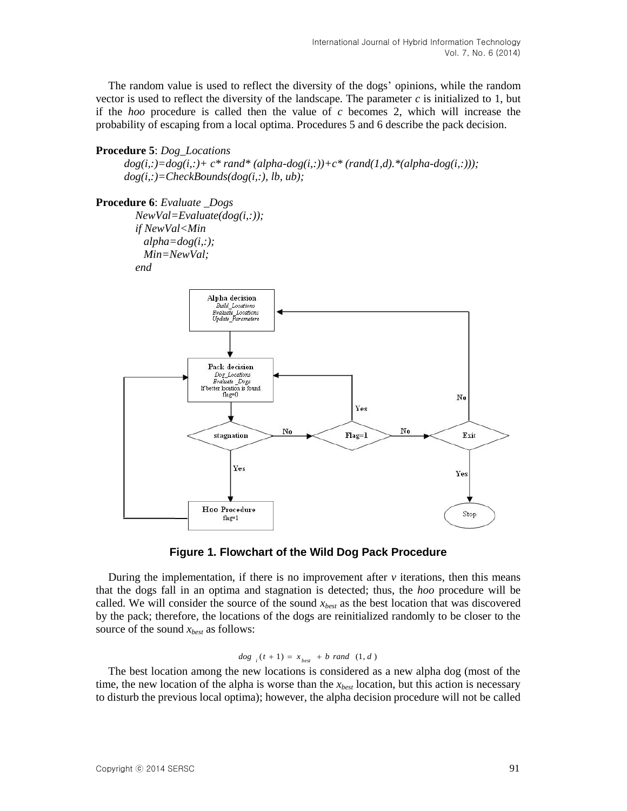The random value is used to reflect the diversity of the dogs' opinions, while the random vector is used to reflect the diversity of the landscape. The parameter  $c$  is initialized to 1, but if the *hoo* procedure is called then the value of *c* becomes 2, which will increase the probability of escaping from a local optima. Procedures 5 and 6 describe the pack decision.

#### **Procedure 5**: *Dog\_Locations*

 $dog(i,:) = dog(i,:) + c* rand* (alpha-dog(i,:))+c* (rand(1,d).*(alpha-dog(i,:)))$ ;  *dog(i,:)=CheckBounds(dog(i,:), lb, ub);*

## **Procedure 6**: *Evaluate \_Dogs*

 *NewVal=Evaluate(dog(i,:)); if NewVal<Min alpha=dog(i,:); Min=NewVal; end*





During the implementation, if there is no improvement after  $\nu$  iterations, then this means that the dogs fall in an optima and stagnation is detected; thus, the *hoo* procedure will be called. We will consider the source of the sound *xbest* as the best location that was discovered by the pack; therefore, the locations of the dogs are reinitialized randomly to be closer to the source of the sound *xbest* as follows:

$$
dog_{i}(t+1) = x_{best} + b \ rand \ (1, d)
$$

The best location among the new locations is considered as a new alpha dog (most of the time, the new location of the alpha is worse than the *xbest* location, but this action is necessary to disturb the previous local optima); however, the alpha decision procedure will not be called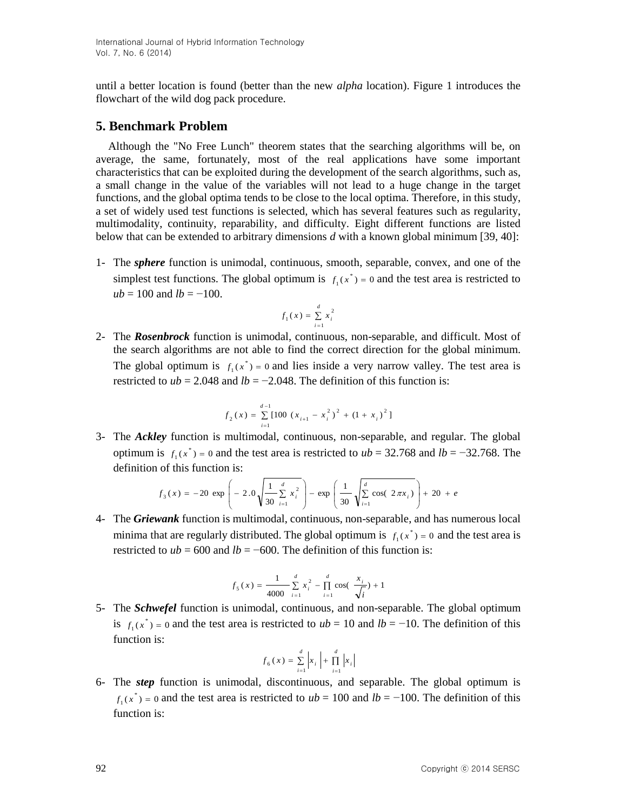until a better location is found (better than the new *alpha* location). Figure 1 introduces the flowchart of the wild dog pack procedure.

## **5. Benchmark Problem**

Although the "No Free Lunch" theorem states that the searching algorithms will be, on average, the same, fortunately, most of the real applications have some important characteristics that can be exploited during the development of the search algorithms, such as, a small change in the value of the variables will not lead to a huge change in the target functions, and the global optima tends to be close to the local optima. Therefore, in this study, a set of widely used test functions is selected, which has several features such as regularity, multimodality, continuity, reparability, and difficulty. Eight different functions are listed below that can be extended to arbitrary dimensions *d* with a known global minimum [39, 40]:

1- The *sphere* function is unimodal, continuous, smooth, separable, convex, and one of the simplest test functions. The global optimum is  $f(x^*) = 0$  and the test area is restricted to  $ub = 100$  and  $lb = -100$ .

$$
f_1(x) = \sum_{i=1}^d x_i^2
$$

2- The *Rosenbrock* function is unimodal, continuous, non-separable, and difficult. Most of the search algorithms are not able to find the correct direction for the global minimum. The global optimum is  $f_1(x^*) = 0$  and lies inside a very narrow valley. The test area is restricted to  $ub = 2.048$  and  $lb = -2.048$ . The definition of this function is:

$$
f_2(x) = \sum_{i=1}^{d-1} [100 (x_{i+1} - x_i^2)^2 + (1 + x_i)^2]
$$

3- The *Ackley* function is multimodal, continuous, non-separable, and regular. The global optimum is  $f_1(x^*) = 0$  and the test area is restricted to  $ub = 32.768$  and  $lb = -32.768$ . The definition of this function is:

$$
f_3(x) = -20 \exp\left(-2.0\sqrt{\frac{1}{30} \sum_{i=1}^d x_i^2}\right) - \exp\left(\frac{1}{30}\sqrt{\sum_{i=1}^d \cos(2\pi x_i)}\right) + 20 + e
$$

4- The *Griewank* function is multimodal, continuous, non-separable, and has numerous local minima that are regularly distributed. The global optimum is  $f_1(x^*) = 0$  and the test area is restricted to  $ub = 600$  and  $lb = -600$ . The definition of this function is:

$$
f_5(x) = \frac{1}{4000} \sum_{i=1}^{d} x_i^2 - \prod_{i=1}^{d} \cos(\frac{x_i}{\sqrt{i}}) + 1
$$

5- The *Schwefel* function is unimodal, continuous, and non-separable. The global optimum is  $f_1(x^*) = 0$  and the test area is restricted to  $ub = 10$  and  $lb = -10$ . The definition of this function is:

$$
f_6(x) = \sum_{i=1}^{d} |x_i| + \prod_{i=1}^{d} |x_i|
$$

6- The *step* function is unimodal, discontinuous, and separable. The global optimum is  $f_1(x^*) = 0$  and the test area is restricted to  $ub = 100$  and  $lb = -100$ . The definition of this function is: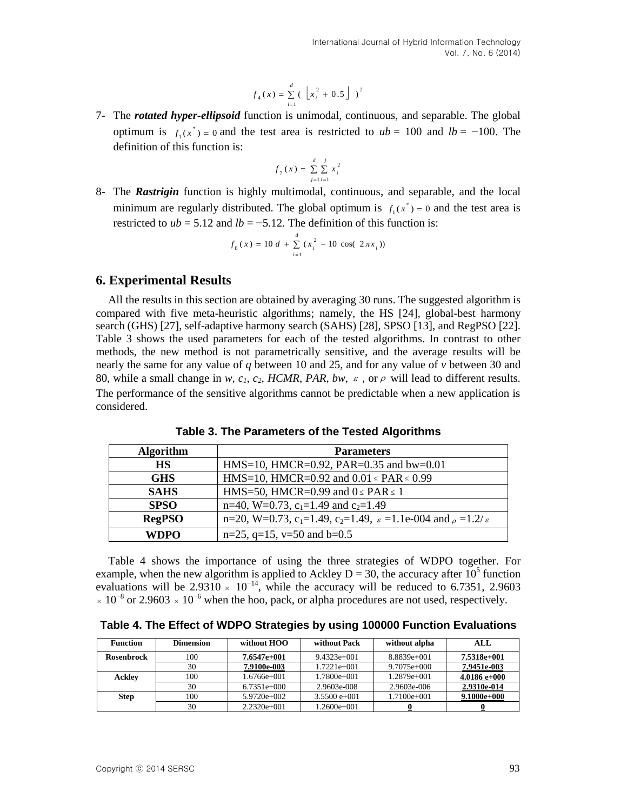$$
f_4(x) = \sum_{i=1}^{d} \left( \left[ x_i^2 + 0.5 \right] \right)^2
$$

7- The *rotated hyper-ellipsoid* function is unimodal, continuous, and separable. The global optimum is  $f_1(x^*) = 0$  and the test area is restricted to  $ub = 100$  and  $lb = -100$ . The definition of this function is:

$$
f_{7}(x) = \sum_{j=1}^{d} \sum_{i=1}^{j} x_{i}^{2}
$$

8- The *Rastrigin* function is highly multimodal, continuous, and separable, and the local minimum are regularly distributed. The global optimum is  $f(x^*) = 0$  and the test area is restricted to  $ub = 5.12$  and  $lb = -5.12$ . The definition of this function is:

$$
f_8(x) = 10 d + \sum_{i=1}^{d} (x_i^2 - 10 \cos(2\pi x_i))
$$

## **6. Experimental Results**

Copyright ⓒ 2014 SERSC 93 All the results in this section are obtained by averaging 30 runs. The suggested algorithm is compared with five meta-heuristic algorithms; namely, the HS [24], global-best harmony search (GHS) [27], self-adaptive harmony search (SAHS) [28], SPSO [13], and RegPSO [22]. Table 3 shows the used parameters for each of the tested algorithms. In contrast to other methods, the new method is not parametrically sensitive, and the average results will be nearly the same for any value of *q* between 10 and 25, and for any value of *v* between 30 and 80, while a small change in *w*,  $c_1$ ,  $c_2$ , HCMR, PAR, bw,  $\varepsilon$ , or  $\rho$  will lead to different results. The performance of the sensitive algorithms cannot be predictable when a new application is considered.

| <b>Algorithm</b> | <b>Parameters</b>                                                                                                |
|------------------|------------------------------------------------------------------------------------------------------------------|
| <b>HS</b>        | HMS=10, HMCR=0.92, PAR=0.35 and bw=0.01                                                                          |
| <b>GHS</b>       | HMS=10, HMCR=0.92 and $0.01 \leq PAR \leq 0.99$                                                                  |
| <b>SAHS</b>      | HMS=50, HMCR=0.99 and $0 \leq PAR \leq 1$                                                                        |
| <b>SPSO</b>      | n=40, W=0.73, c <sub>1</sub> =1.49 and c <sub>2</sub> =1.49                                                      |
| <b>RegPSO</b>    | n=20, W=0.73, c <sub>1</sub> =1.49, c <sub>2</sub> =1.49, $\varepsilon$ =1.1e-004 and $\rho$ =1.2/ $\varepsilon$ |
| WDPO             | $n=25$ , $q=15$ , $v=50$ and $b=0.5$                                                                             |

**Table 3. The Parameters of the Tested Algorithms**

Table 4 shows the importance of using the three strategies of WDPO together. For example, when the new algorithm is applied to Ackley D = 30, the accuracy after  $10^5$  function evaluations will be 2.9310  $\times$  10<sup>-14</sup>, while the accuracy will be reduced to 6.7351, 2.9603  $\times 10^{-8}$  or 2.9603  $\times 10^{-6}$  when the hoo, pack, or alpha procedures are not used, respectively.

|  |  |  | Table 4. The Effect of WDPO Strategies by using 100000 Function Evaluations |
|--|--|--|-----------------------------------------------------------------------------|
|  |  |  |                                                                             |

| <b>Function</b> | <b>Dimension</b> | without HOO   | without Pack   | without alpha | ALL            |
|-----------------|------------------|---------------|----------------|---------------|----------------|
| Rosenbrock      | 100              | $7.6547e+001$ | $9.4323e+001$  | $8.8839e+001$ | 7.5318e+001    |
|                 | 30               | 7.9100e-003   | $1.7221e+001$  | $9.7075e+000$ | 7.9451e-003    |
| <b>Ackley</b>   | 100              | 1.6766e+001   | 1.7800e+001    | 1.2879e+001   | $4.0186 e+000$ |
|                 | 30               | $6.7351e+000$ | 2.9603e-008    | 2.9603e-006   | 2.9310e-014    |
| <b>Step</b>     | 100              | $5.9720e+002$ | $3.5500 e+001$ | 1.7100e+001   | $9.1000e+000$  |
|                 | 30               | $2.2320e+001$ | 1.2600e+001    |               |                |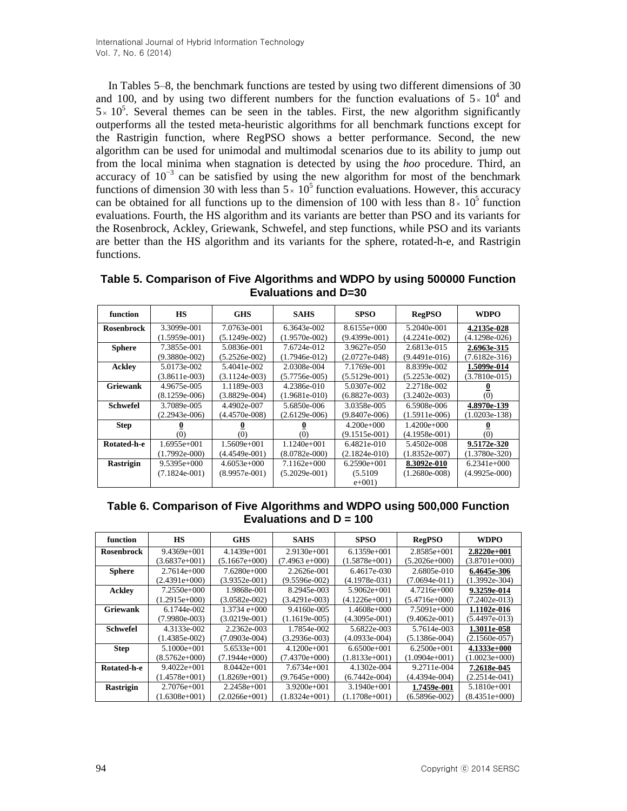In Tables 5–8, the benchmark functions are tested by using two different dimensions of 30 and 100, and by using two different numbers for the function evaluations of  $5 \times 10^4$  and  $5 \times 10^5$ . Several themes can be seen in the tables. First, the new algorithm significantly outperforms all the tested meta-heuristic algorithms for all benchmark functions except for the Rastrigin function, where RegPSO shows a better performance. Second, the new algorithm can be used for unimodal and multimodal scenarios due to its ability to jump out from the local minima when stagnation is detected by using the *hoo* procedure. Third, an accuracy of  $10^{-3}$  can be satisfied by using the new algorithm for most of the benchmark functions of dimension 30 with less than  $5 \times 10^5$  function evaluations. However, this accuracy can be obtained for all functions up to the dimension of 100 with less than  $8 \times 10^5$  function evaluations. Fourth, the HS algorithm and its variants are better than PSO and its variants for the Rosenbrock, Ackley, Griewank, Schwefel, and step functions, while PSO and its variants are better than the HS algorithm and its variants for the sphere, rotated-h-e, and Rastrigin functions.

**Table 5. Comparison of Five Algorithms and WDPO by using 500000 Function Evaluations and D=30**

| function          | <b>HS</b>       | <b>GHS</b>      | <b>SAHS</b>     | <b>SPSO</b>     | <b>RegPSO</b>   | WDPO            |
|-------------------|-----------------|-----------------|-----------------|-----------------|-----------------|-----------------|
| <b>Rosenbrock</b> | 3.3099e-001     | 7.0763e-001     | 6.3643e-002     | $8.6155e+000$   | 5.2040e-001     | 4.2135e-028     |
|                   | $(1.5959e-001)$ | $(5.1249e-002)$ | $(1.9570e-002)$ | $(9.4399e-001)$ | (4.2241e-002)   | $(4.1298e-026)$ |
| <b>Sphere</b>     | 7.3855e-001     | 5.0836e-001     | 7.6724e-012     | 3.9627e-050     | 2.6813e-015     | 2.6963e-315     |
|                   | $(9.3880e-002)$ | $(5.2526e-002)$ | $(1.7946e-012)$ | $(2.0727e-048)$ | $(9.4491e-016)$ | $(7.6182e-316)$ |
| <b>Ackley</b>     | 5.0173e-002     | 5.4041e-002     | 2.0308e-004     | 7.1769e-001     | 8.8399e-002     | 1.5099e-014     |
|                   | $(3.8611e-003)$ | $(3.1124e-003)$ | $(5.7756e-005)$ | $(5.5129e-001)$ | $(5.2253e-002)$ | $(3.7810e-015)$ |
| <b>Griewank</b>   | 4.9675e-005     | 1.1189e-003     | 4.2386e-010     | 5.0307e-002     | 2.2718e-002     |                 |
|                   | $(8.1259e-006)$ | $(3.8829e-004)$ | $(1.9681e-010)$ | $(6.8827e-003)$ | $(3.2402e-003)$ | (0)             |
| <b>Schwefel</b>   | 3.7089e-005     | 4.4902e-007     | 5.6850e-006     | 3.0358e-005     | 6.5908e-006     | 4.8970e-139     |
|                   | $(2.2943e-006)$ | $(4.4570e-008)$ | $(2.6129e-006)$ | $(9.8407e-006)$ | $(1.5911e-006)$ | $(1.0203e-138)$ |
| <b>Step</b>       |                 |                 |                 | $4.200e+0.00$   | $1.4200e+000$   |                 |
|                   | (0)             | (0)             | (0)             | $(9.1515e-001)$ | $(4.1958e-001)$ | (0)             |
| Rotated-h-e       | $1.6955e+001$   | 1.5609e+001     | $1.1240e+001$   | 6.4821e-010     | 5.4502e-008     | 9.5172e-320     |
|                   | $(1.7992e-000)$ | $(4.4549e-001)$ | $(8.0782e-000)$ | $(2.1824e-010)$ | $(1.8352e-007)$ | $(1.3780e-320)$ |
| <b>Rastrigin</b>  | $9.5395e+000$   | $4.6053e+000$   | $7.1162e+000$   | $6.2590e+001$   | 8.3092e-010     | $6.2341e+000$   |
|                   | $(7.1824e-001)$ | $(8.9957e-001)$ | $(5.2029e-001)$ | (5.5109         | $(1.2680e-008)$ | $(4.9925e-000)$ |
|                   |                 |                 |                 | $e+001$         |                 |                 |

#### **Table 6. Comparison of Five Algorithms and WDPO using 500,000 Function Evaluations and D = 100**

| function          | <b>HS</b>       | <b>GHS</b>      | <b>SAHS</b>        | <b>SPSO</b>     | <b>RegPSO</b>   | WDPO            |
|-------------------|-----------------|-----------------|--------------------|-----------------|-----------------|-----------------|
| <b>Rosenbrock</b> | $9.4369e+001$   | $4.1439e+001$   | $2.9130e+001$      | $6.1359e+001$   | 2.8585e+001     | $2.8220e+001$   |
|                   | (3.6837e+001)   | $(5.1667e+000)$ | $(7.4963 e + 000)$ | $(1.5878e+001)$ | (5.2026e+000)   | $(3.8701e+000)$ |
| <b>Sphere</b>     | $2.7614e+000$   | $7.6280e+000$   | 2.2626e-001        | 6.4617e-030     | 2.6805e-010     | 6.4645e-306     |
|                   | $(2.4391e+000)$ | (3.9352e-001)   | $(9.5596e-002)$    | $(4.1978e-031)$ | $(7.0694e-011)$ | (1.3992e-304)   |
| Ackley            | $7.2550e+000$   | 1.9868e-001     | 8.2945e-003        | $5.9062e+001$   | $4.7216e+000$   | 9.3259e-014     |
|                   | $(1.2915e+000)$ | $(3.0582e-002)$ | $(3.4291e-003)$    | $(4.1226e+001)$ | $(5.4716e+000)$ | (7.2402e-013)   |
| <b>Griewank</b>   | 6.1744e-002     | $1.3734 e+000$  | 9.4160e-005        | $1.4608e+000$   | 7.5091e+000     | 1.1102e-016     |
|                   | $(7.9980e-003)$ | $(3.0219e-001)$ | $(1.1619e-005)$    | $(4.3095e-001)$ | $(9.4062e-001)$ | (5.4497e-013)   |
| <b>Schwefel</b>   | 4.3133e-002     | 2.2362e-003     | 1.7854e-002        | 5.6822e-003     | 5.7614e-003     | 1.3011e-058     |
|                   | $(1.4385e-002)$ | $(7.0903e-004)$ | $(3.2936e-003)$    | $(4.0933e-004)$ | $(5.1386e-004)$ | $(2.1560e-057)$ |
| <b>Step</b>       | $5.1000e+001$   | $5.6533e+001$   | $4.1200e+001$      | $6.6500e+001$   | $6.2500e+001$   | $4.1333e+000$   |
|                   | $(8.5762e+000)$ | $(7.1944e+000)$ | (7.4370e+000)      | $(1.8133e+001)$ | (1.0904e+001)   | $(1.0023e+000)$ |
| Rotated-h-e       | $9.4022e+001$   | $8.0442e+001$   | 7.6734e+001        | 4.1302e-004     | 9.2711e-004     | 7.2618e-045     |
|                   | $(1.4578e+001)$ | $(1.8269e+001)$ | $(9.7645e+000)$    | $(6.7442e-004)$ | $(4.4394e-004)$ | $(2.2514e-041)$ |
| <b>Rastrigin</b>  | $2.7076e+001$   | $2.2458e+001$   | $3.9200e+001$      | $3.1940e+001$   | 1.7459e-001     | $5.1810e+001$   |
|                   | $(1.6308e+001)$ | $(2.0266e+001)$ | $(1.8324e+001)$    | (1.1708e+001)   | $(6.5896e-002)$ | $(8.4351e+000)$ |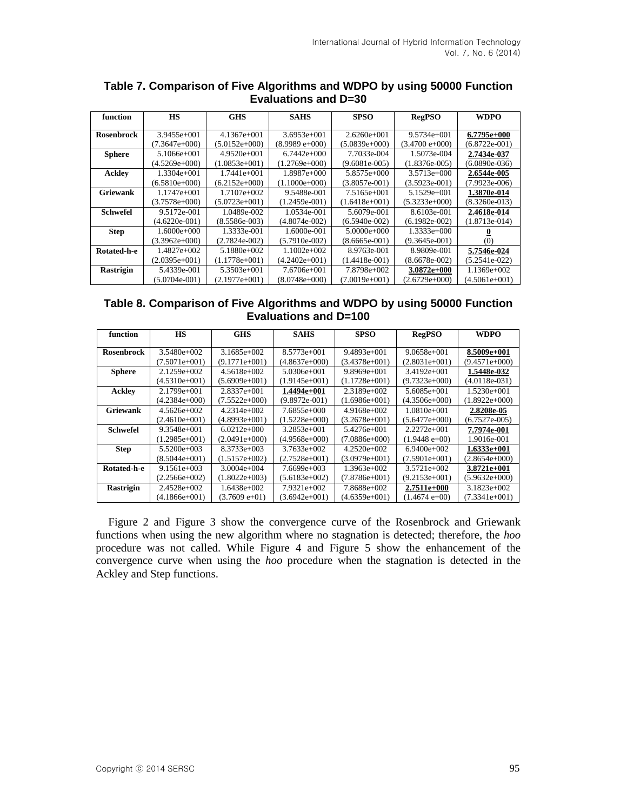| function          | <b>HS</b>       | <b>GHS</b>      | <b>SAHS</b>      | <b>SPSO</b>     | <b>RegPSO</b>    | <b>WDPO</b>     |
|-------------------|-----------------|-----------------|------------------|-----------------|------------------|-----------------|
|                   |                 |                 |                  |                 |                  |                 |
| <b>Rosenbrock</b> | $3.9455e+001$   | 4.1367e+001     | $3.6953e+001$    | $2.6260e+001$   | $9.5734e+001$    | 6.7795e+000     |
|                   | (7.3647e+000)   | $(5.0152e+000)$ | $(8.9989 e+000)$ | $(5.0839e+000)$ | $(3.4700 e+000)$ | (6.8722e-001)   |
| <b>Sphere</b>     | 5.1066e+001     | $4.9520e+001$   | $6.7442e+000$    | 7.7033e-004     | 1.5073e-004      | 2.7434e-037     |
|                   | $(4.5269e+000)$ | $(1.0853e+001)$ | $(1.2769e+000)$  | $(9.6081e-005)$ | $(1.8376e-005)$  | $(6.0890e-036)$ |
| Ackley            | $1.3304e+001$   | $1.7441e+001$   | 1.8987e+000      | 5.8575e+000     | $3.5713e+000$    | 2.6544e-005     |
|                   | $(6.5810e+000)$ | $(6.2152e+000)$ | $(1.1000e+000)$  | $(3.8057e-001)$ | $(3.5923e-001)$  | $(7.9923e-006)$ |
| <b>Griewank</b>   | $1.1747e+001$   | $1.7107e+002$   | 9.5488e-001      | 7.5165e+001     | $5.1529e+001$    | 1.3870e-014     |
|                   | $(3.7578e+000)$ | $(5.0723e+001)$ | $(1.2459e-001)$  | $(1.6418e+001)$ | $(5.3233e+000)$  | $(8.3260e-013)$ |
| <b>Schwefel</b>   | 9.5172e-001     | 1.0489e-002     | 1.0534e-001      | 5.6079e-001     | 8.6103e-001      | 2.4618e-014     |
|                   | $(4.6220e-001)$ | $(8.5586e-003)$ | $(4.8074e-002)$  | $(6.5940e-002)$ | $(6.1982e-002)$  | $(1.8713e-014)$ |
| <b>Step</b>       | $1.6000e+000$   | 1.3333e-001     | 1.6000e-001      | $5.0000e+000$   | $1.3333e+000$    |                 |
|                   | $(3.3962e+000)$ | $(2.7824e-002)$ | $(5.7910e-002)$  | $(8.6665e-001)$ | $(9.3645e-001)$  | (0)             |
| Rotated-h-e       | 1.4827e+002     | $5.1880e+002$   | $1.1002e+002$    | 8.9763e-001     | 8.9809e-001      | 5.7546e-024     |
|                   | $(2.0395e+001)$ | $(1.1778e+001)$ | $(4.2402e+001)$  | $(1.4418e-001)$ | $(8.6678e-002)$  | (5.2541e-022)   |
| Rastrigin         | 5.4339e-001     | $5.3503e+001$   | $7.6706e+001$    | 7.8798e+002     | $3.0872e+000$    | $1.1369e+002$   |
|                   | $(5.0704e-001)$ | $(2.1977e+001)$ | $(8.0748e+000)$  | $(7.0019e+001)$ | $(2.6729e+000)$  | $(4.5061e+001)$ |

## **Table 7. Comparison of Five Algorithms and WDPO by using 50000 Function Evaluations and D=30**

### **Table 8. Comparison of Five Algorithms and WDPO by using 50000 Function Evaluations and D=100**

| function          | <b>HS</b>       | <b>GHS</b>       | <b>SAHS</b>     | <b>SPSO</b>     | <b>RegPSO</b>     | WDPO            |
|-------------------|-----------------|------------------|-----------------|-----------------|-------------------|-----------------|
|                   |                 |                  |                 |                 |                   |                 |
| <b>Rosenbrock</b> | $3.5480e+002$   | 3.1685e+002      | $8.5773e+001$   | $9.4893e+001$   | $9.0658e+001$     | 8.5009e+001     |
|                   | $(7.5071e+001)$ | $(9.1771e+001)$  | (4.8637e+000)   | $(3.4378e+001)$ | (2.8031e+001)     | (9.4571e+000)   |
| <b>Sphere</b>     | $2.1259e+002$   | $4.5618e+002$    | $5.0306e+001$   | $9.8969e+001$   | $3.4192e+001$     | 1.5448e-032     |
|                   | $(4.5310e+001)$ | $(5.6909e+001)$  | (1.9145e+001)   | $(1.1728e+001)$ | $(9.7323e+000)$   | $(4.0118e-031)$ |
| Ackley            | $2.1799e+001$   | $2.8337e+001$    | 1.4494e+001     | $2.3189e+002$   | 5.6085e+001       | $1.5230e+001$   |
|                   | $(4.2384e+000)$ | $(7.5522e+000)$  | $(9.8972e-001)$ | $(1.6986e+001)$ | $(4.3506e+000)$   | $(1.8922e+000)$ |
| Griewank          | $4.5626e+002$   | 4.2314e+002      | 7.6855e+000     | $4.9168e+002$   | $1.0810e+001$     | 2.8208e-05      |
|                   | $(2.4610e+001)$ | $(4.8993e+001)$  | $(1.5228e+000)$ | $(3.2678e+001)$ | $(5.6477e+000)$   | $(6.7527e-005)$ |
| <b>Schwefel</b>   | $9.3548e+001$   | $6.0212e+0.00$   | $3.2853e+001$   | 5.4276e+001     | $2.2272e+001$     | 7.7974e-001     |
|                   | $(1.2985e+001)$ | $(2.0491e+000)$  | $(4.9568e+000)$ | $(7.0886e+000)$ | $(1.9448 e + 00)$ | 1.9016e-001     |
| <b>Step</b>       | 5.5200e+003     | 8.3733e+003      | $3.7633e+002$   | $4.2520e+002$   | $6.9400e+002$     | $1.6333e+001$   |
|                   | $(8.5044e+001)$ | $(1.5157e+002)$  | (2.7528e+001)   | $(3.0979e+001)$ | (7.5901e+001)     | $(2.8654e+000)$ |
| Rotated-h-e       | $9.1561e+003$   | $3.0004e+004$    | $7.6699e+003$   | 1.3963e+002     | $3.5721e+002$     | $3.8721e+001$   |
|                   | $(2.2566e+002)$ | $(1.8022e+0.03)$ | (5.6183e+002)   | $(7.8786e+001)$ | (9.2153e+001)     | (5.9632e+000)   |
| <b>Rastrigin</b>  | $2.4528e+002$   | 1.6438e+002      | 7.9321e+002     | 7.8688e+002     | 2.7511e+000       | $3.1823e+002$   |
|                   | $(4.1866e+001)$ | $(3.7609 e+01)$  | $(3.6942e+001)$ | (4.6359e+001)   | $(1.4674e+00)$    | $(7.3341e+001)$ |

Figure 2 and Figure 3 show the convergence curve of the Rosenbrock and Griewank functions when using the new algorithm where no stagnation is detected; therefore, the *hoo* procedure was not called. While Figure 4 and Figure 5 show the enhancement of the convergence curve when using the *hoo* procedure when the stagnation is detected in the Ackley and Step functions.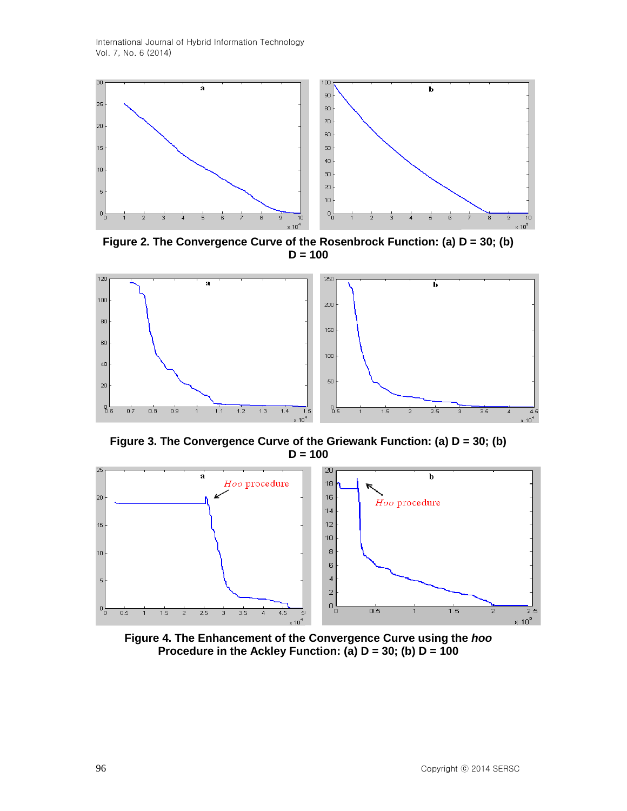

**Figure 2. The Convergence Curve of the Rosenbrock Function: (a) D = 30; (b) D = 100**



**Figure 3. The Convergence Curve of the Griewank Function: (a) D = 30; (b) D = 100**



**Figure 4. The Enhancement of the Convergence Curve using the** *hoo* **Procedure in the Ackley Function: (a) D = 30; (b) D = 100**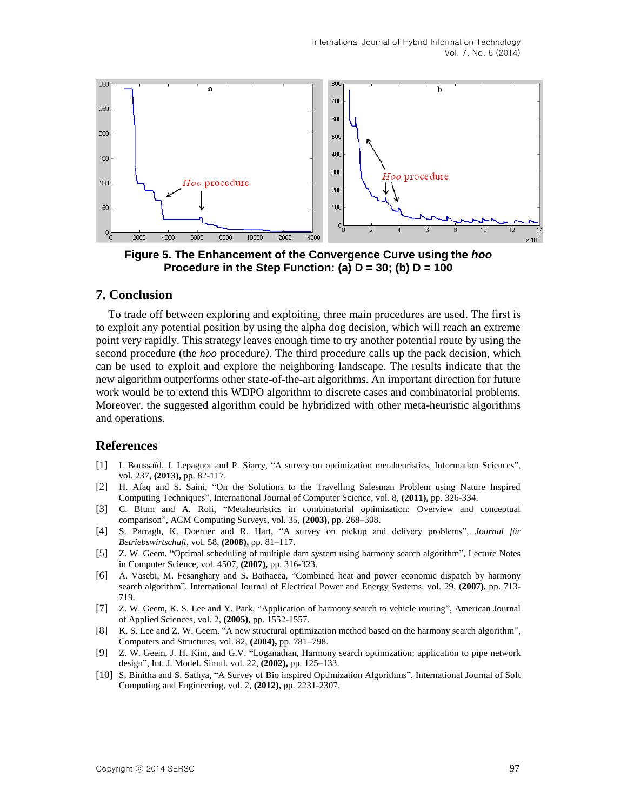

**Figure 5. The Enhancement of the Convergence Curve using the** *hoo* **Procedure in the Step Function: (a) D = 30; (b) D = 100**

## **7. Conclusion**

To trade off between exploring and exploiting, three main procedures are used. The first is to exploit any potential position by using the alpha dog decision, which will reach an extreme point very rapidly. This strategy leaves enough time to try another potential route by using the second procedure (the *hoo* procedure*)*. The third procedure calls up the pack decision, which can be used to exploit and explore the neighboring landscape. The results indicate that the new algorithm outperforms other state-of-the-art algorithms. An important direction for future work would be to extend this WDPO algorithm to discrete cases and combinatorial problems. Moreover, the suggested algorithm could be hybridized with other meta-heuristic algorithms and operations.

### **References**

- [1] [I. Boussaïd,](http://www.informatik.uni-trier.de/~ley/pers/hd/b/Boussa=iuml=d:Ilhem.html) [J. Lepagnot](http://www.informatik.uni-trier.de/~ley/pers/hd/l/Lepagnot:Julien.html) and P. Siarry, "A survey on optimization metaheuristics, [Information](http://www.sciencedirect.com/science/journal/00200255) Sciences", vol. [237,](http://www.informatik.uni-trier.de/~ley/db/journals/isci/isci237.html#BoussaidLS13) **(2013),** pp. 82-117.
- [2] H. Afaq and S. Saini, ["On the Solutions to the Travelling Salesman Problem using Nature Inspired](http://www.mendeley.com/research/solutions-travelling-salesman-problem-using-nature-inspired-computing-techniques/)  [Computing Techniques", International Journal of Computer Science, vol.](http://www.mendeley.com/research/solutions-travelling-salesman-problem-using-nature-inspired-computing-techniques/) 8, **(2011),** pp. 326-334.
- [3] C. Blum and A. Roli, "Metaheuristics in combinatorial optimization: Overview and conceptual comparison", ACM Computing Surveys, vol. 35, **(2003),** pp. 268–308.
- [4] S. Parragh, K. Doerner and R. Hart, "A survey on pickup and delivery problems", *Journal für Betriebswirtschaft*, vol. 58, **(2008),** pp. 81–117.
- [5] Z. W. Geem, "Optimal scheduling of multiple dam system using harmony search algorithm", Lecture Notes in Computer Science, vol. 4507, **(2007),** pp. 316-323.
- [6] A. Vasebi, M. Fesanghary and S. Bathaeea, "Combined heat and power economic dispatch by harmony search algorithm", International Journal of Electrical Power and Energy Systems, vol. 29, (**2007),** pp. 713- 719.
- [7] Z. W. Geem, K. S. Lee and Y. Park, "Application of harmony search to vehicle routing", American Journal of Applied Sciences, vol. 2, **(2005),** pp. 1552-1557.
- [8] K. S. Lee and Z. W. Geem, "A new structural optimization method based on the harmony search algorithm", Computers and Structures, vol. 82, **(2004),** pp. 781–798.
- [9] Z. W. Geem, J. H. Kim, and G.V. "Loganathan, Harmony search optimization: application to pipe network design", Int. J. Model. Simul. vol. 22, **(2002),** pp. 125–133.
- [10] S. Binitha and S. Sathya, "A Survey of Bio inspired Optimization Algorithms", International Journal of Soft Computing and Engineering, vol. 2, **(2012),** pp. 2231-2307.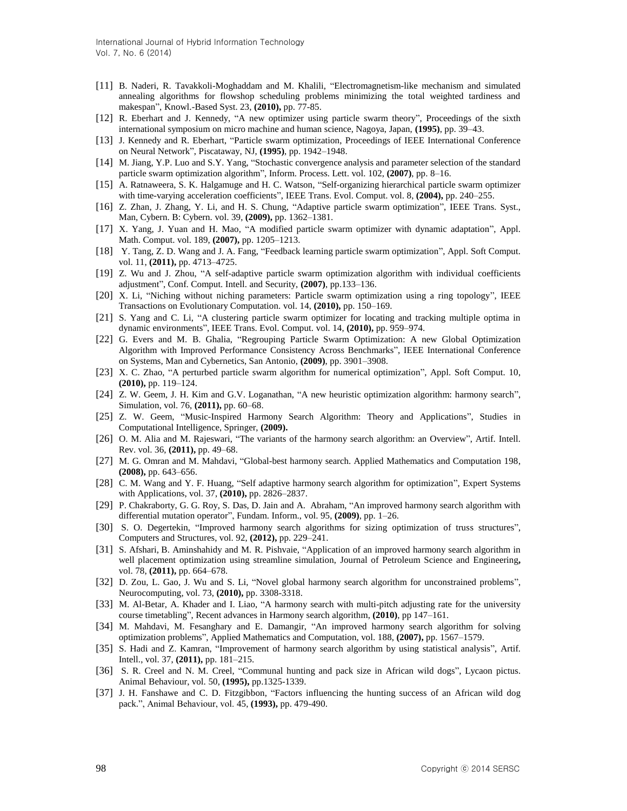- [11] B. Naderi, [R. Tavakkoli-Moghaddam](http://www.informatik.uni-trier.de/~ley/pers/hd/t/Tavakkoli=Moghaddam:Reza.html) and [M. Khalili,](http://www.informatik.uni-trier.de/~ley/pers/hd/k/Khalili:M=.html) "Electromagnetism-like mechanism and simulated annealing algorithms for flowshop scheduling problems minimizing the total weighted tardiness and makespan", [Knowl.-Based Syst. 23,](http://www.informatik.uni-trier.de/~ley/db/journals/kbs/kbs23.html#NaderiTK10) **(2010),** pp. 77-85.
- [12] R. Eberhart and J. Kennedy, "A new optimizer using particle swarm theory", Proceedings of the sixth international symposium on micro machine and human science, Nagoya, Japan, **(1995)**, pp. 39–43.
- [13] J. Kennedy and R. Eberhart, "Particle swarm optimization, Proceedings of IEEE International Conference on Neural Network", Piscataway, NJ, **(1995)**, pp. 1942–1948.
- [14] M. Jiang, Y.P. Luo and S.Y. Yang, "Stochastic convergence analysis and parameter selection of the standard particle swarm optimization algorithm", Inform. Process. Lett. vol. 102, **(2007)**, pp. 8–16.
- [15] A. Ratnaweera, S. K. Halgamuge and H. C. Watson, "Self-organizing hierarchical particle swarm optimizer with time-varying acceleration coefficients", IEEE Trans. Evol. Comput. vol. 8, **(2004),** pp. 240–255.
- [16] Z. Zhan, J. Zhang, Y. Li, and H. S. Chung, "Adaptive particle swarm optimization", IEEE Trans. Syst., Man, Cybern. B: Cybern. vol. 39, **(2009),** pp. 1362–1381.
- [17] X. Yang, J. Yuan and H. Mao, "A modified particle swarm optimizer with dynamic adaptation", Appl. Math. Comput. vol. 189, **(2007),** pp. 1205–1213.
- [18] Y. Tang, Z. D. Wang and J. A. Fang, "Feedback learning particle swarm optimization", Appl. Soft Comput. vol. 11, **(2011),** pp. 4713–4725.
- [19] Z. Wu and J. Zhou, "A self-adaptive particle swarm optimization algorithm with individual coefficients adjustment", Conf. Comput. Intell. and Security, **(2007)**, pp.133–136.
- [20] X. Li, "Niching without niching parameters: Particle swarm optimization using a ring topology", IEEE Transactions on Evolutionary Computation. vol. 14, **(2010),** pp. 150–169.
- [21] S. Yang and C. Li, "A clustering particle swarm optimizer for locating and tracking multiple optima in dynamic environments", IEEE Trans. Evol. Comput. vol. 14, **(2010),** pp. 959–974.
- [22] G. Evers and M. B. Ghalia, "Regrouping Particle Swarm Optimization: A new Global Optimization Algorithm with Improved Performance Consistency Across Benchmarks", IEEE International Conference on Systems, Man and Cybernetics, San Antonio, **(2009)**, pp. 3901–3908.
- [23] X. C. Zhao, "A perturbed particle swarm algorithm for numerical optimization", Appl. Soft Comput. 10, **(2010),** pp. 119–124.
- [24] Z. W. Geem, J. H. Kim and G.V. Loganathan, "A new heuristic optimization algorithm: harmony search", Simulation, vol. 76, **(2011),** pp. 60–68.
- [25] Z. W. Geem, "Music-Inspired Harmony Search Algorithm: Theory and Applications", Studies in Computational Intelligence, Springer, **(2009).**
- [26] O. M. Alia and M. Rajeswari, "The variants of the harmony search algorithm: an Overview", Artif. Intell. Rev. vol. 36, **(2011),** pp. 49–68.
- [27] M. G. Omran and M. Mahdavi, "Global-best harmony search. Applied Mathematics and Computation 198, **(2008),** pp. 643–656.
- [28] C. M. Wang and Y. F. Huang, "Self adaptive harmony search algorithm for optimization", Expert Systems with Applications, vol. 37, **(2010),** pp. 2826–2837.
- [29] P. Chakraborty, G. G. Roy, S. Das, D. Jain and A. Abraham, "An improved harmony search algorithm with differential mutation operator", Fundam. Inform., vol. 95, **(2009)**, pp. 1–26.
- [30] S. O. Degertekin, "Improved harmony search algorithms for sizing optimization of truss structures", Computers and Structures, vol. 92, **(2012),** pp. 229–241.
- [31] S. [Afshari,](http://www.sciencedirect.com/science/article/pii/S0920410511001999) B. [Aminshahidy](http://www.sciencedirect.com/science/article/pii/S0920410511001999) and M. R. [Pishvaie,](http://www.sciencedirect.com/science/article/pii/S0920410511001999) "Application of an improved harmony search algorithm in well placement optimization using streamline simulation, Journal of Petroleum Science and [Engineering](http://www.sciencedirect.com/science/journal/09204105)**,**  vol. [78,](http://www.sciencedirect.com/science/journal/09204105/78/3) **(2011),** pp. 664–678.
- [32] D. Zou, L. Gao, J. Wu and S. Li, "Novel global harmony search algorithm for unconstrained problems", Neurocomputing, vol. 73, **(2010),** pp. 3308-3318.
- [33] M. Al-Betar, A. Khader and I. Liao, "A harmony search with multi-pitch adjusting rate for the university course timetabling", Recent advances in Harmony search algorithm, **(2010)**, pp 147–161.
- [34] M. Mahdavi, M. Fesanghary and E. Damangir, "An improved harmony search algorithm for solving optimization problems", Applied Mathematics and Computation, vol. 188, **(2007),** pp. 1567–1579.
- [35] S. Hadi and Z. Kamran, "Improvement of harmony search algorithm by using statistical analysis", Artif. Intell., vol. 37, **(2011),** pp. 181–215.
- [36] S. R. Creel and N. M. Creel, "Communal hunting and pack size in African wild dogs", Lycaon pictus. Animal Behaviour, vol. 50, **(1995),** pp.1325-1339.
- [37] J. H. Fanshawe and C. D. Fitzgibbon, "Factors influencing the hunting success of an African wild dog pack.", Animal Behaviour, vol. 45, **(1993),** pp. 479-490.